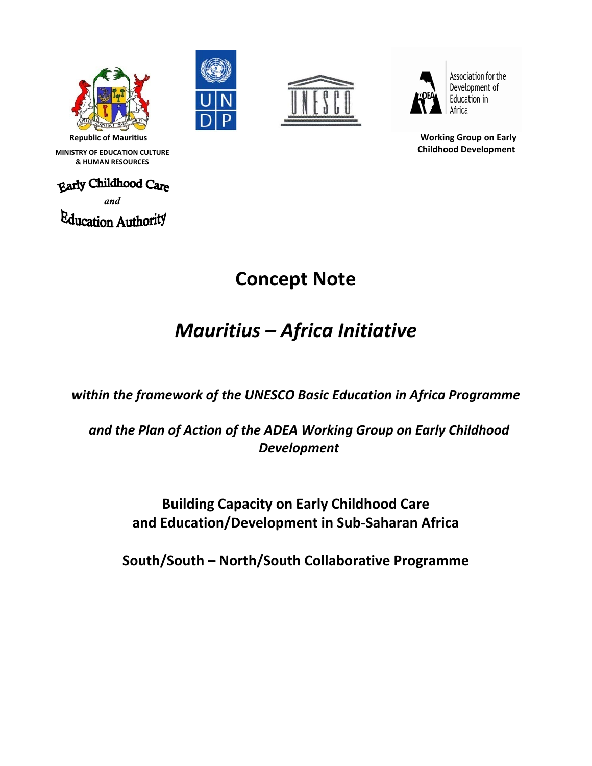







Association for the Development of Education in Africa

**Republic of Mauritius Working Group on Early Childhood Development**

 **MINISTRY OF EDUCATION CULTURE & HUMAN RESOURCES**

*and* Education Authority

# **Concept Note**

# *Mauritius – Africa Initiative*

*within the framework of the UNESCO Basic Education in Africa Programme*

*and the Plan of Action of the ADEA Working Group on Early Childhood Development*

> **Building Capacity on Early Childhood Care and Education/Development in Sub‐Saharan Africa**

**South/South – North/South Collaborative Programme**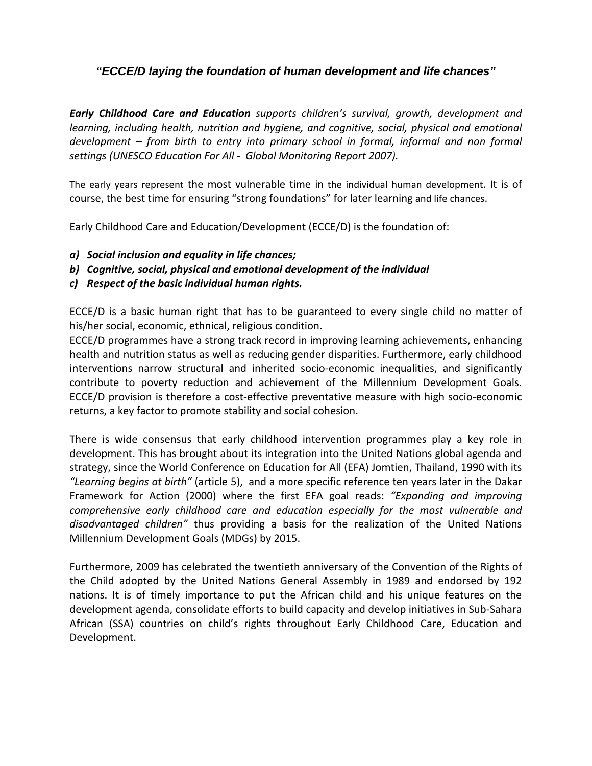### *"ECCE/D laying the foundation of human development and life chances"*

*Early Childhood Care and Education supports children's survival, growth, development and learning, including health, nutrition and hygiene, and cognitive, social, physical and emotional development – from birth to entry into primary school in formal, informal and non formal settings (UNESCO Education For All ‐ Global Monitoring Report 2007).*

The early years represent the most vulnerable time in the individual human development. It is of course, the best time for ensuring "strong foundations" for later learning and life chances.

Early Childhood Care and Education/Development (ECCE/D) is the foundation of:

- *a) Social inclusion and equality in life chances;*
- *b) Cognitive, social, physical and emotional development of the individual*
- *c) Respect of the basic individual human rights.*

ECCE/D is a basic human right that has to be guaranteed to every single child no matter of his/her social, economic, ethnical, religious condition.

ECCE/D programmes have a strong track record in improving learning achievements, enhancing health and nutrition status as well as reducing gender disparities. Furthermore, early childhood interventions narrow structural and inherited socio‐economic inequalities, and significantly contribute to poverty reduction and achievement of the Millennium Development Goals. ECCE/D provision is therefore a cost-effective preventative measure with high socio-economic returns, a key factor to promote stability and social cohesion.

There is wide consensus that early childhood intervention programmes play a key role in development. This has brought about its integration into the United Nations global agenda and strategy, since the World Conference on Education for All (EFA) Jomtien, Thailand, 1990 with its *"Learning begins at birth"* (article 5), and a more specific reference ten years later in the Dakar Framework for Action (2000) where the first EFA goal reads: *"Expanding and improving comprehensive early childhood care and education especially for the most vulnerable and disadvantaged children"* thus providing a basis for the realization of the United Nations Millennium Development Goals (MDGs) by 2015.

Furthermore, 2009 has celebrated the twentieth anniversary of the Convention of the Rights of the Child adopted by the United Nations General Assembly in 1989 and endorsed by 192 nations. It is of timely importance to put the African child and his unique features on the development agenda, consolidate efforts to build capacity and develop initiatives in Sub‐Sahara African (SSA) countries on child's rights throughout Early Childhood Care, Education and Development.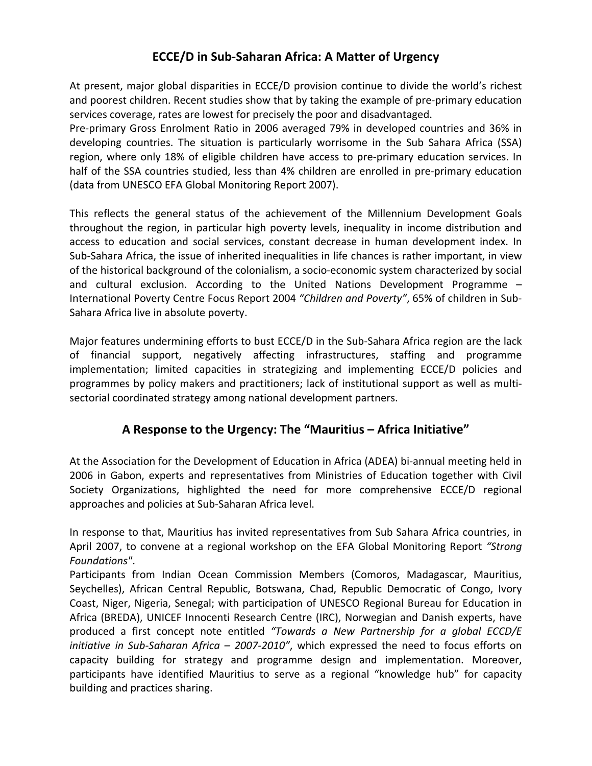# **ECCE/D in Sub‐Saharan Africa: A Matter of Urgency**

At present, major global disparities in ECCE/D provision continue to divide the world's richest and poorest children. Recent studies show that by taking the example of pre-primary education services coverage, rates are lowest for precisely the poor and disadvantaged.

Pre-primary Gross Enrolment Ratio in 2006 averaged 79% in developed countries and 36% in developing countries. The situation is particularly worrisome in the Sub Sahara Africa (SSA) region, where only 18% of eligible children have access to pre-primary education services. In half of the SSA countries studied, less than 4% children are enrolled in pre-primary education (data from UNESCO EFA Global Monitoring Report 2007).

This reflects the general status of the achievement of the Millennium Development Goals throughout the region, in particular high poverty levels, inequality in income distribution and access to education and social services, constant decrease in human development index. In Sub‐Sahara Africa, the issue of inherited inequalities in life chances is rather important, in view of the historical background of the colonialism, a socio‐economic system characterized by social and cultural exclusion. According to the United Nations Development Programme – International Poverty Centre Focus Report 2004 *"Children and Poverty"*, 65% of children in Sub‐ Sahara Africa live in absolute poverty.

Major features undermining efforts to bust ECCE/D in the Sub-Sahara Africa region are the lack of financial support, negatively affecting infrastructures, staffing and programme implementation; limited capacities in strategizing and implementing ECCE/D policies and programmes by policy makers and practitioners; lack of institutional support as well as multi‐ sectorial coordinated strategy among national development partners.

# **A Response to the Urgency: The "Mauritius – Africa Initiative"**

At the Association for the Development of Education in Africa (ADEA) bi‐annual meeting held in 2006 in Gabon, experts and representatives from Ministries of Education together with Civil Society Organizations, highlighted the need for more comprehensive ECCE/D regional approaches and policies at Sub‐Saharan Africa level.

In response to that, Mauritius has invited representatives from Sub Sahara Africa countries, in April 2007, to convene at a regional workshop on the EFA Global Monitoring Report *"Strong Foundations"*.

Participants from Indian Ocean Commission Members (Comoros, Madagascar, Mauritius, Seychelles), African Central Republic, Botswana, Chad, Republic Democratic of Congo, Ivory Coast, Niger, Nigeria, Senegal; with participation of UNESCO Regional Bureau for Education in Africa (BREDA), UNICEF Innocenti Research Centre (IRC), Norwegian and Danish experts, have produced a first concept note entitled *"Towards a New Partnership for a global ECCD/E initiative in Sub‐Saharan Africa – 2007‐2010"*, which expressed the need to focus efforts on capacity building for strategy and programme design and implementation. Moreover, participants have identified Mauritius to serve as a regional "knowledge hub" for capacity building and practices sharing.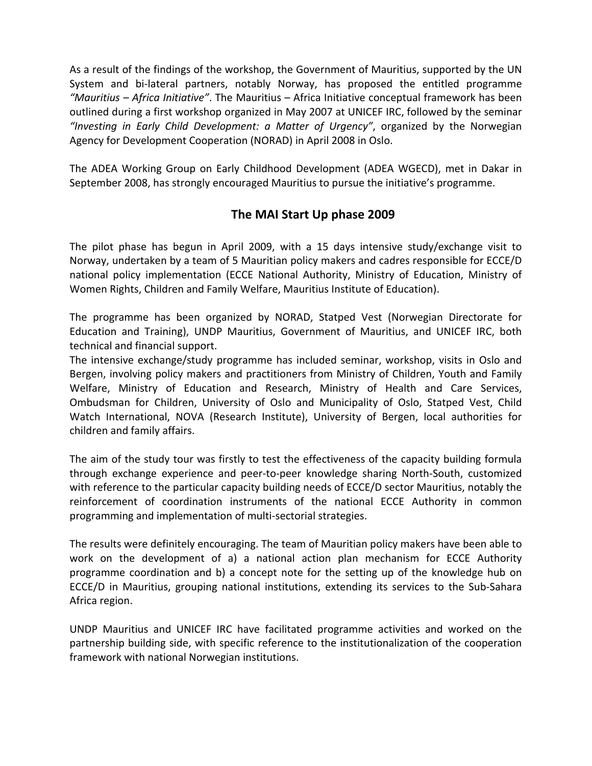As a result of the findings of the workshop, the Government of Mauritius, supported by the UN System and bi-lateral partners, notably Norway, has proposed the entitled programme *"Mauritius – Africa Initiative"*. The Mauritius – Africa Initiative conceptual framework has been outlined during a first workshop organized in May 2007 at UNICEF IRC, followed by the seminar *"Investing in Early Child Development: a Matter of Urgency"*, organized by the Norwegian Agency for Development Cooperation (NORAD) in April 2008 in Oslo.

The ADEA Working Group on Early Childhood Development (ADEA WGECD), met in Dakar in September 2008, has strongly encouraged Mauritius to pursue the initiative's programme.

### **The MAI Start Up phase 2009**

The pilot phase has begun in April 2009, with a 15 days intensive study/exchange visit to Norway, undertaken by a team of 5 Mauritian policy makers and cadres responsible for ECCE/D national policy implementation (ECCE National Authority, Ministry of Education, Ministry of Women Rights, Children and Family Welfare, Mauritius Institute of Education).

The programme has been organized by NORAD, Statped Vest (Norwegian Directorate for Education and Training), UNDP Mauritius, Government of Mauritius, and UNICEF IRC, both technical and financial support.

The intensive exchange/study programme has included seminar, workshop, visits in Oslo and Bergen, involving policy makers and practitioners from Ministry of Children, Youth and Family Welfare, Ministry of Education and Research, Ministry of Health and Care Services, Ombudsman for Children, University of Oslo and Municipality of Oslo, Statped Vest, Child Watch International, NOVA (Research Institute), University of Bergen, local authorities for children and family affairs.

The aim of the study tour was firstly to test the effectiveness of the capacity building formula through exchange experience and peer‐to‐peer knowledge sharing North‐South, customized with reference to the particular capacity building needs of ECCE/D sector Mauritius, notably the reinforcement of coordination instruments of the national ECCE Authority in common programming and implementation of multi‐sectorial strategies.

The results were definitely encouraging. The team of Mauritian policy makers have been able to work on the development of a) a national action plan mechanism for ECCE Authority programme coordination and b) a concept note for the setting up of the knowledge hub on ECCE/D in Mauritius, grouping national institutions, extending its services to the Sub‐Sahara Africa region.

UNDP Mauritius and UNICEF IRC have facilitated programme activities and worked on the partnership building side, with specific reference to the institutionalization of the cooperation framework with national Norwegian institutions.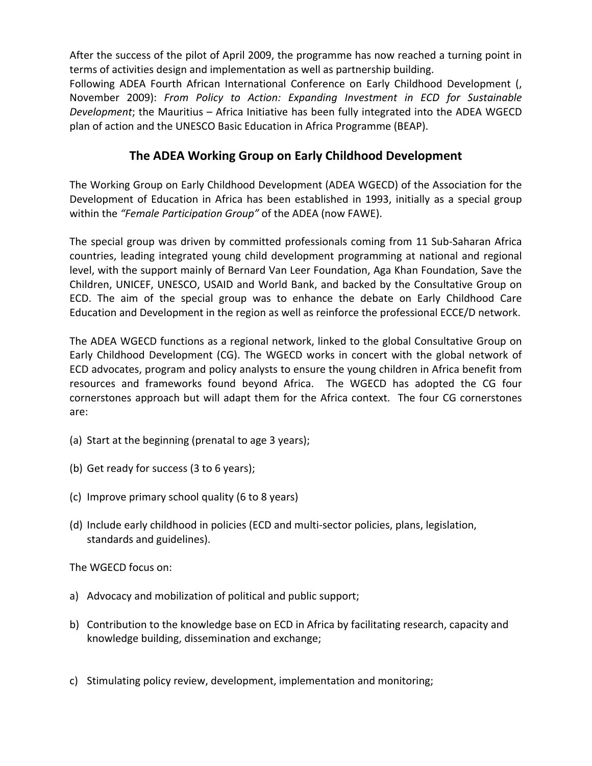After the success of the pilot of April 2009, the programme has now reached a turning point in terms of activities design and implementation as well as partnership building.

Following ADEA Fourth African International Conference on Early Childhood Development (, November 2009): *From Policy to Action: Expanding Investment in ECD for Sustainable Development*; the Mauritius – Africa Initiative has been fully integrated into the ADEA WGECD plan of action and the UNESCO Basic Education in Africa Programme (BEAP).

# **The ADEA Working Group on Early Childhood Development**

The Working Group on Early Childhood Development (ADEA WGECD) of the Association for the Development of Education in Africa has been established in 1993, initially as a special group within the *"Female Participation Group"* of the ADEA (now FAWE).

The special group was driven by committed professionals coming from 11 Sub‐Saharan Africa countries, leading integrated young child development programming at national and regional level, with the support mainly of Bernard Van Leer Foundation, Aga Khan Foundation, Save the Children, UNICEF, UNESCO, USAID and World Bank, and backed by the Consultative Group on ECD. The aim of the special group was to enhance the debate on Early Childhood Care Education and Development in the region as well as reinforce the professional ECCE/D network.

The ADEA WGECD functions as a regional network, linked to the global Consultative Group on Early Childhood Development (CG). The WGECD works in concert with the global network of ECD advocates, program and policy analysts to ensure the young children in Africa benefit from resources and frameworks found beyond Africa. The WGECD has adopted the CG four cornerstones approach but will adapt them for the Africa context. The four CG cornerstones are:

- (a) Start at the beginning (prenatal to age 3 years);
- (b) Get ready for success (3 to 6 years);
- (c) Improve primary school quality (6 to 8 years)
- (d) Include early childhood in policies (ECD and multi‐sector policies, plans, legislation, standards and guidelines).

The WGECD focus on:

- a) Advocacy and mobilization of political and public support;
- b) Contribution to the knowledge base on ECD in Africa by facilitating research, capacity and knowledge building, dissemination and exchange;
- c) Stimulating policy review, development, implementation and monitoring;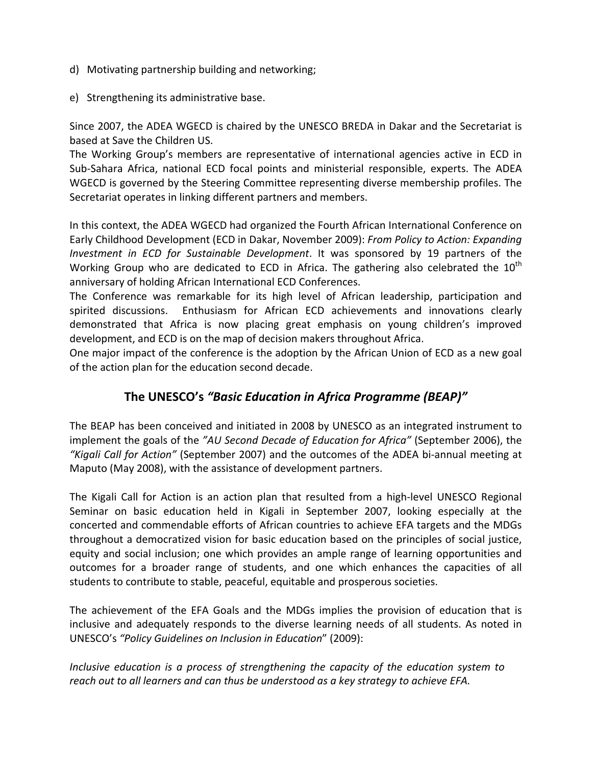- d) Motivating partnership building and networking;
- e) Strengthening its administrative base.

Since 2007, the ADEA WGECD is chaired by the UNESCO BREDA in Dakar and the Secretariat is based at Save the Children US.

The Working Group's members are representative of international agencies active in ECD in Sub‐Sahara Africa, national ECD focal points and ministerial responsible, experts. The ADEA WGECD is governed by the Steering Committee representing diverse membership profiles. The Secretariat operates in linking different partners and members.

In this context, the ADEA WGECD had organized the Fourth African International Conference on Early Childhood Development (ECD in Dakar, November 2009): *From Policy to Action: Expanding Investment in ECD for Sustainable Development*. It was sponsored by 19 partners of the Working Group who are dedicated to ECD in Africa. The gathering also celebrated the  $10<sup>th</sup>$ anniversary of holding African International ECD Conferences.

The Conference was remarkable for its high level of African leadership, participation and spirited discussions. Enthusiasm for African ECD achievements and innovations clearly demonstrated that Africa is now placing great emphasis on young children's improved development, and ECD is on the map of decision makers throughout Africa.

One major impact of the conference is the adoption by the African Union of ECD as a new goal of the action plan for the education second decade.

# **The UNESCO's** *"Basic Education in Africa Programme (BEAP)"*

The BEAP has been conceived and initiated in 2008 by UNESCO as an integrated instrument to implement the goals of the *"AU Second Decade of Education for Africa"* (September 2006), the *"Kigali Call for Action"* (September 2007) and the outcomes of the ADEA bi‐annual meeting at Maputo (May 2008), with the assistance of development partners.

The Kigali Call for Action is an action plan that resulted from a high‐level UNESCO Regional Seminar on basic education held in Kigali in September 2007, looking especially at the concerted and commendable efforts of African countries to achieve EFA targets and the MDGs throughout a democratized vision for basic education based on the principles of social justice, equity and social inclusion; one which provides an ample range of learning opportunities and outcomes for a broader range of students, and one which enhances the capacities of all students to contribute to stable, peaceful, equitable and prosperous societies.

The achievement of the EFA Goals and the MDGs implies the provision of education that is inclusive and adequately responds to the diverse learning needs of all students. As noted in UNESCO's *"Policy Guidelines on Inclusion in Education*" (2009):

*Inclusive education is a process of strengthening the capacity of the education system to reach out to all learners and can thus be understood as a key strategy to achieve EFA.*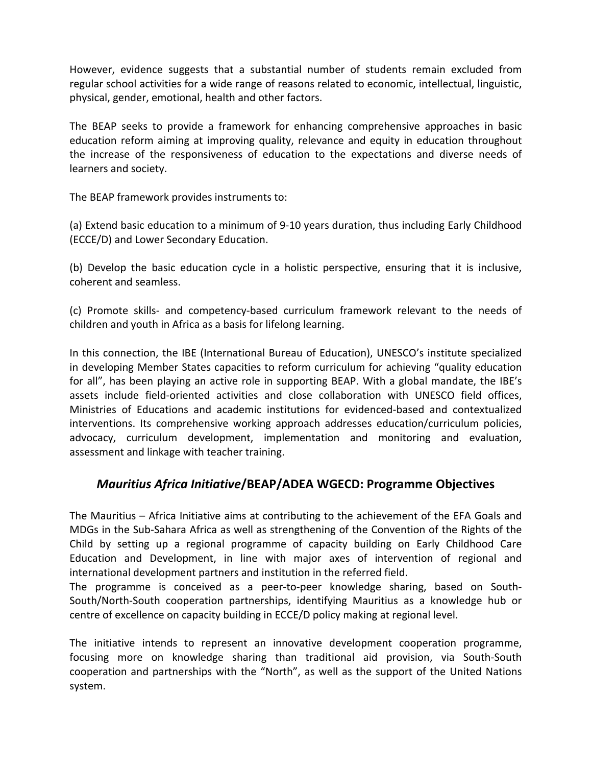However, evidence suggests that a substantial number of students remain excluded from regular school activities for a wide range of reasons related to economic, intellectual, linguistic, physical, gender, emotional, health and other factors.

The BEAP seeks to provide a framework for enhancing comprehensive approaches in basic education reform aiming at improving quality, relevance and equity in education throughout the increase of the responsiveness of education to the expectations and diverse needs of learners and society.

The BEAP framework provides instruments to:

(a) Extend basic education to a minimum of 9‐10 years duration, thus including Early Childhood (ECCE/D) and Lower Secondary Education.

(b) Develop the basic education cycle in a holistic perspective, ensuring that it is inclusive, coherent and seamless.

(c) Promote skills‐ and competency‐based curriculum framework relevant to the needs of children and youth in Africa as a basis for lifelong learning.

In this connection, the IBE (International Bureau of Education), UNESCO's institute specialized in developing Member States capacities to reform curriculum for achieving "quality education for all", has been playing an active role in supporting BEAP. With a global mandate, the IBE's assets include field‐oriented activities and close collaboration with UNESCO field offices, Ministries of Educations and academic institutions for evidenced‐based and contextualized interventions. Its comprehensive working approach addresses education/curriculum policies, advocacy, curriculum development, implementation and monitoring and evaluation, assessment and linkage with teacher training.

# *Mauritius Africa Initiative***/BEAP/ADEA WGECD: Programme Objectives**

The Mauritius – Africa Initiative aims at contributing to the achievement of the EFA Goals and MDGs in the Sub‐Sahara Africa as well as strengthening of the Convention of the Rights of the Child by setting up a regional programme of capacity building on Early Childhood Care Education and Development, in line with major axes of intervention of regional and international development partners and institution in the referred field.

The programme is conceived as a peer-to-peer knowledge sharing, based on South-South/North‐South cooperation partnerships, identifying Mauritius as a knowledge hub or centre of excellence on capacity building in ECCE/D policy making at regional level.

The initiative intends to represent an innovative development cooperation programme, focusing more on knowledge sharing than traditional aid provision, via South‐South cooperation and partnerships with the "North", as well as the support of the United Nations system.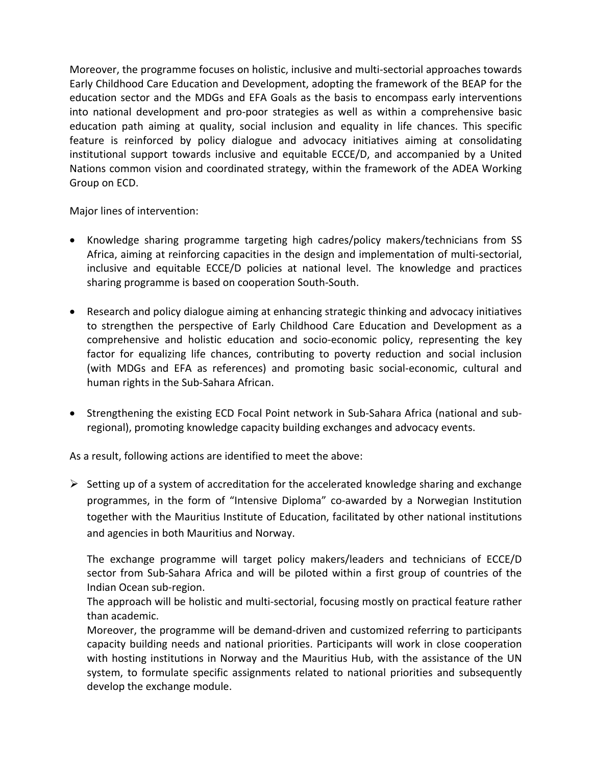Moreover, the programme focuses on holistic, inclusive and multi‐sectorial approaches towards Early Childhood Care Education and Development, adopting the framework of the BEAP for the education sector and the MDGs and EFA Goals as the basis to encompass early interventions into national development and pro‐poor strategies as well as within a comprehensive basic education path aiming at quality, social inclusion and equality in life chances. This specific feature is reinforced by policy dialogue and advocacy initiatives aiming at consolidating institutional support towards inclusive and equitable ECCE/D, and accompanied by a United Nations common vision and coordinated strategy, within the framework of the ADEA Working Group on ECD.

Major lines of intervention:

- Knowledge sharing programme targeting high cadres/policy makers/technicians from SS Africa, aiming at reinforcing capacities in the design and implementation of multi‐sectorial, inclusive and equitable ECCE/D policies at national level. The knowledge and practices sharing programme is based on cooperation South‐South.
- Research and policy dialogue aiming at enhancing strategic thinking and advocacy initiatives to strengthen the perspective of Early Childhood Care Education and Development as a comprehensive and holistic education and socio‐economic policy, representing the key factor for equalizing life chances, contributing to poverty reduction and social inclusion (with MDGs and EFA as references) and promoting basic social‐economic, cultural and human rights in the Sub‐Sahara African.
- Strengthening the existing ECD Focal Point network in Sub-Sahara Africa (national and subregional), promoting knowledge capacity building exchanges and advocacy events.

As a result, following actions are identified to meet the above:

 $\triangleright$  Setting up of a system of accreditation for the accelerated knowledge sharing and exchange programmes, in the form of "Intensive Diploma" co-awarded by a Norwegian Institution together with the Mauritius Institute of Education, facilitated by other national institutions and agencies in both Mauritius and Norway.

The exchange programme will target policy makers/leaders and technicians of ECCE/D sector from Sub-Sahara Africa and will be piloted within a first group of countries of the Indian Ocean sub‐region.

The approach will be holistic and multi‐sectorial, focusing mostly on practical feature rather than academic.

Moreover, the programme will be demand‐driven and customized referring to participants capacity building needs and national priorities. Participants will work in close cooperation with hosting institutions in Norway and the Mauritius Hub, with the assistance of the UN system, to formulate specific assignments related to national priorities and subsequently develop the exchange module.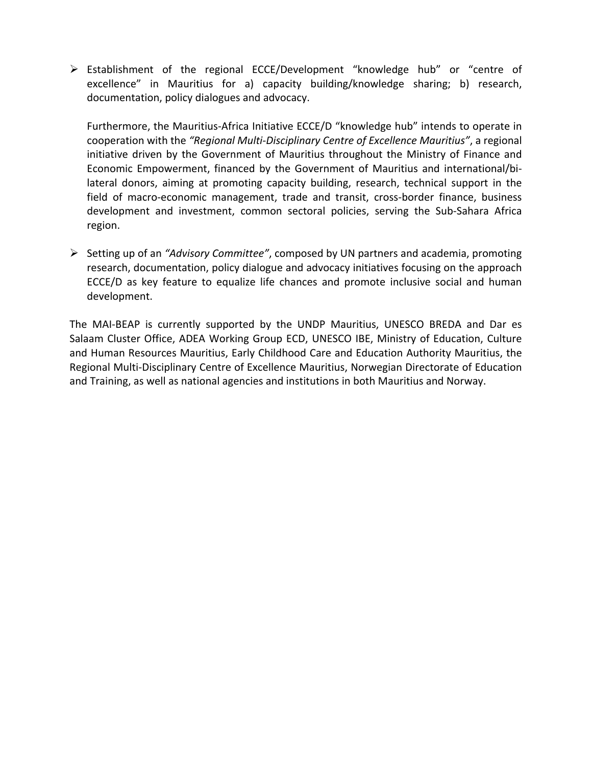¾ Establishment of the regional ECCE/Development "knowledge hub" or "centre of excellence" in Mauritius for a) capacity building/knowledge sharing; b) research, documentation, policy dialogues and advocacy.

Furthermore, the Mauritius-Africa Initiative ECCE/D "knowledge hub" intends to operate in cooperation with the *"Regional Multi‐Disciplinary Centre of Excellence Mauritius"*, a regional initiative driven by the Government of Mauritius throughout the Ministry of Finance and Economic Empowerment, financed by the Government of Mauritius and international/bi‐ lateral donors, aiming at promoting capacity building, research, technical support in the field of macro-economic management, trade and transit, cross-border finance, business development and investment, common sectoral policies, serving the Sub‐Sahara Africa region.

¾ Setting up of an *"Advisory Committee"*, composed by UN partners and academia, promoting research, documentation, policy dialogue and advocacy initiatives focusing on the approach ECCE/D as key feature to equalize life chances and promote inclusive social and human development.

The MAI-BEAP is currently supported by the UNDP Mauritius, UNESCO BREDA and Dar es Salaam Cluster Office, ADEA Working Group ECD, UNESCO IBE, Ministry of Education, Culture and Human Resources Mauritius, Early Childhood Care and Education Authority Mauritius, the Regional Multi‐Disciplinary Centre of Excellence Mauritius, Norwegian Directorate of Education and Training, as well as national agencies and institutions in both Mauritius and Norway.